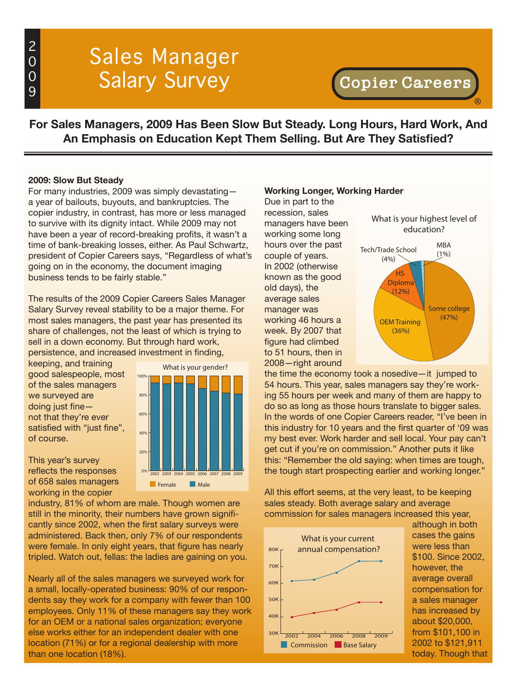# Sales Manager Salary Survey

®

**For Sales Managers, 2009 Has Been Slow But Steady. Long Hours, Hard Work, And An Emphasis on Education Kept Them Selling. But Are They Satisfied?**

## **2009: Slow But Steady**

For many industries, 2009 was simply devastating a year of bailouts, buyouts, and bankruptcies. The copier industry, in contrast, has more or less managed to survive with its dignity intact. While 2009 may not have been a year of record-breaking profits, it wasn't a time of bank-breaking losses, either. As Paul Schwartz, president of Copier Careers says, "Regardless of what's going on in the economy, the document imaging business tends to be fairly stable."

The results of the 2009 Copier Careers Sales Manager Salary Survey reveal stability to be a major theme. For most sales managers, the past year has presented its share of challenges, not the least of which is trying to sell in a down economy. But through hard work, persistence, and increased investment in finding,

keeping, and training good salespeople, most of the sales managers we surveyed are doing just fine not that they're ever satisfied with "just fine", of course.

This year's survey reflects the responses of 658 sales managers working in the copier



industry, 81% of whom are male. Though women are still in the minority, their numbers have grown significantly since 2002, when the first salary surveys were administered. Back then, only 7% of our respondents were female. In only eight years, that figure has nearly tripled. Watch out, fellas: the ladies are gaining on you.

Nearly all of the sales managers we surveyed work for a small, locally-operated business: 90% of our respondents say they work for a company with fewer than 100 employees. Only 11% of these managers say they work for an OEM or a national sales organization; everyone else works either for an independent dealer with one location (71%) or for a regional dealership with more than one location (18%).

#### **Working Longer, Working Harder**

Due in part to the recession, sales managers have been working some long hours over the past couple of years. In 2002 (otherwise known as the good old days), the average sales manager was working 46 hours a week. By 2007 that figure had climbed to 51 hours, then in 2008—right around



the time the economy took a nosedive—it jumped to 54 hours. This year, sales managers say they're working 55 hours per week and many of them are happy to do so as long as those hours translate to bigger sales. In the words of one Copier Careers reader, "I've been in this industry for 10 years and the first quarter of '09 was my best ever. Work harder and sell local. Your pay can't get cut if you're on commission." Another puts it like this: "Remember the old saying: when times are tough, the tough start prospecting earlier and working longer."

All this effort seems, at the very least, to be keeping sales steady. Both average salary and average commission for sales managers increased this year,



although in both cases the gains were less than \$100. Since 2002, however, the average overall compensation for a sales manager has increased by about \$20,000, from \$101,100 in 2002 to \$121,911 today. Though that